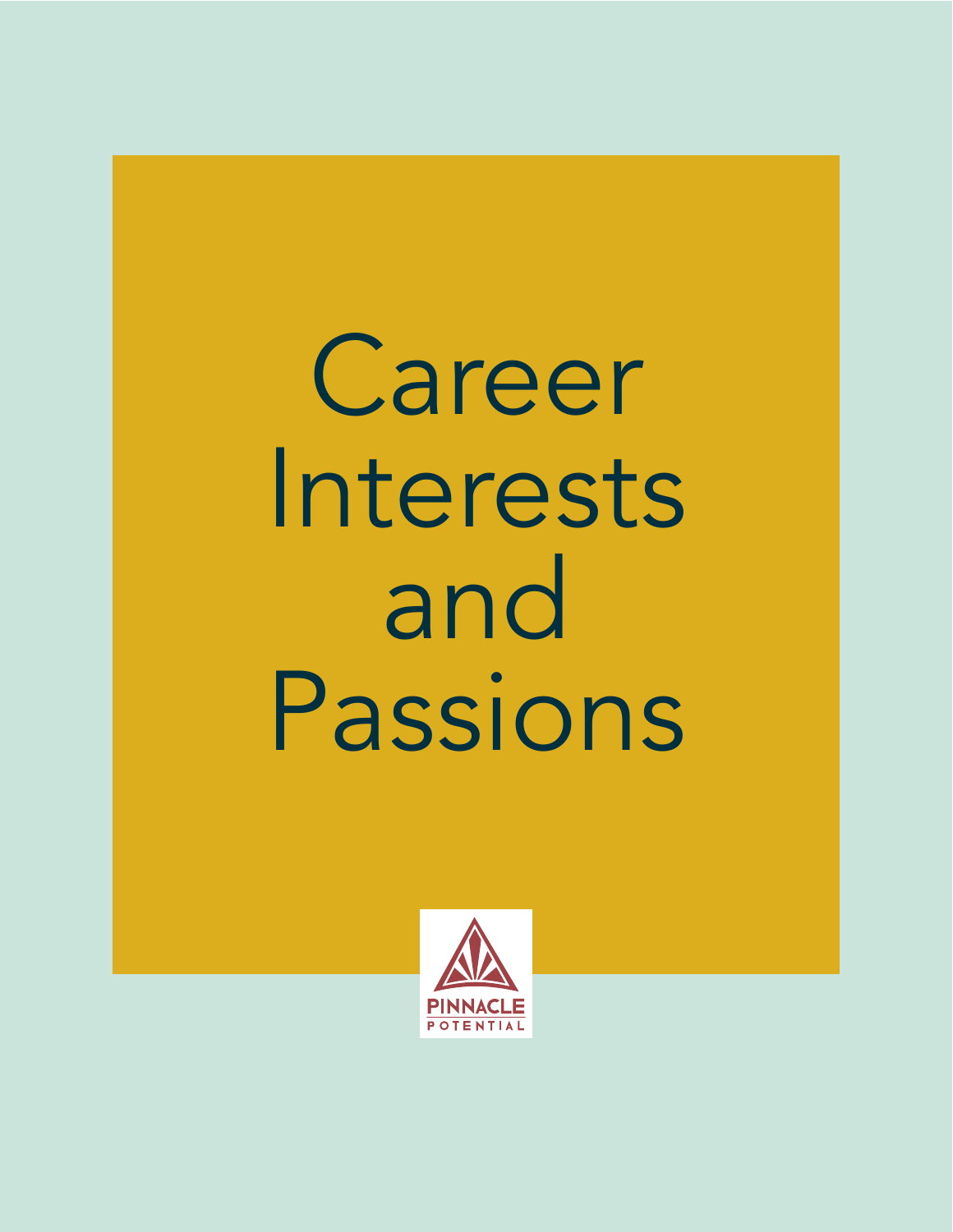# Career Interests and Passions

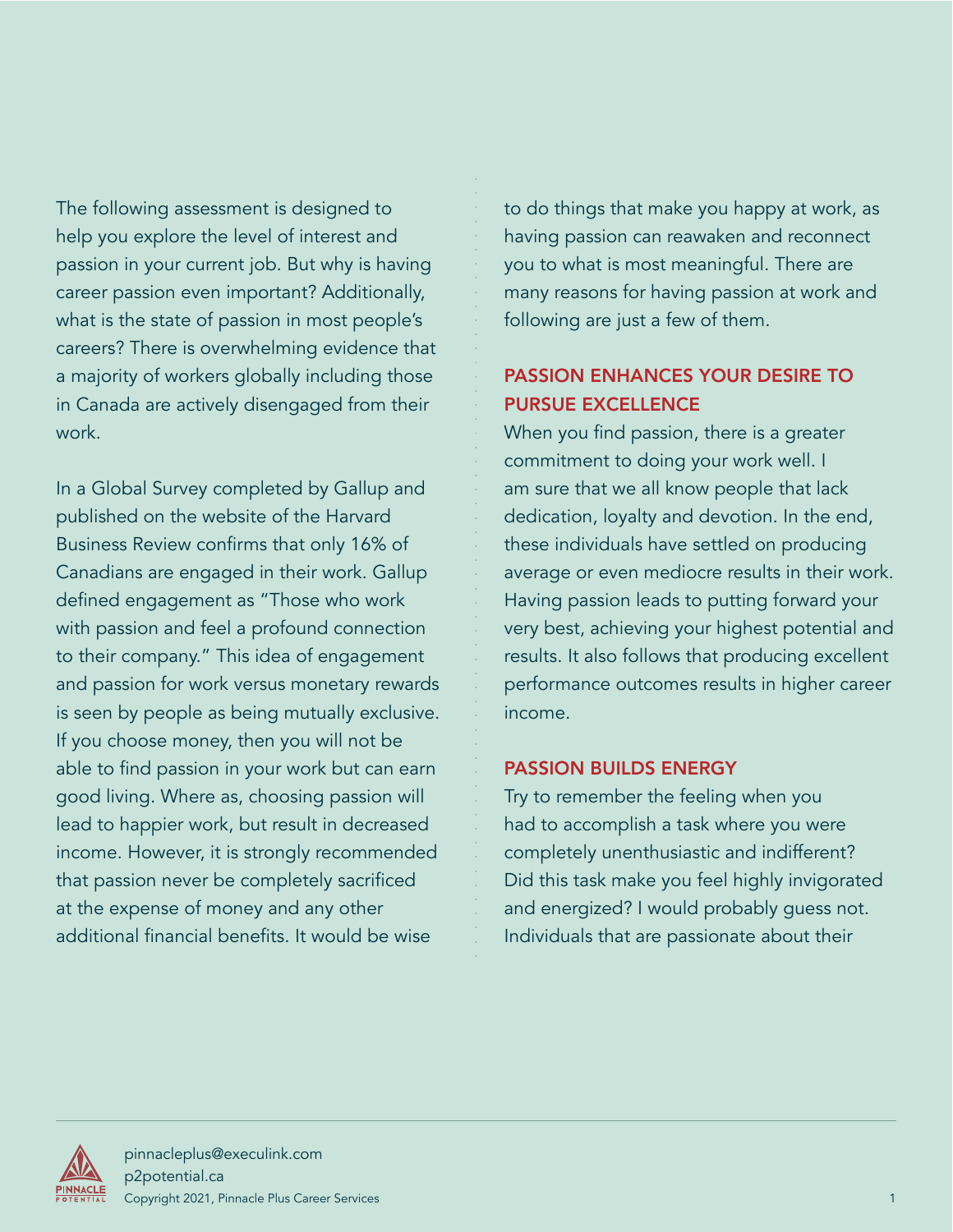The following assessment is designed to help you explore the level of interest and passion in your current job. But why is having career passion even important? Additionally, what is the state of passion in most people's careers? There is overwhelming evidence that a majority of workers globally including those in Canada are actively disengaged from their work.

In a Global Survey completed by Gallup and published on the website of the Harvard Business Review confirms that only 16% of Canadians are engaged in their work. Gallup defined engagement as "Those who work with passion and feel a profound connection to their company." This idea of engagement and passion for work versus monetary rewards is seen by people as being mutually exclusive. If you choose money, then you will not be able to find passion in your work but can earn good living. Where as, choosing passion will lead to happier work, but result in decreased income. However, it is strongly recommended that passion never be completely sacrificed at the expense of money and any other additional financial benefits. It would be wise

to do things that make you happy at work, as having passion can reawaken and reconnect you to what is most meaningful. There are many reasons for having passion at work and following are just a few of them.

#### PASSION ENHANCES YOUR DESIRE TO PURSUE EXCELLENCE

When you find passion, there is a greater commitment to doing your work well. I am sure that we all know people that lack dedication, loyalty and devotion. In the end, these individuals have settled on producing average or even mediocre results in their work. Having passion leads to putting forward your very best, achieving your highest potential and results. It also follows that producing excellent performance outcomes results in higher career income.

#### PASSION BUILDS ENERGY

Try to remember the feeling when you had to accomplish a task where you were completely unenthusiastic and indifferent? Did this task make you feel highly invigorated and energized? I would probably guess not. Individuals that are passionate about their

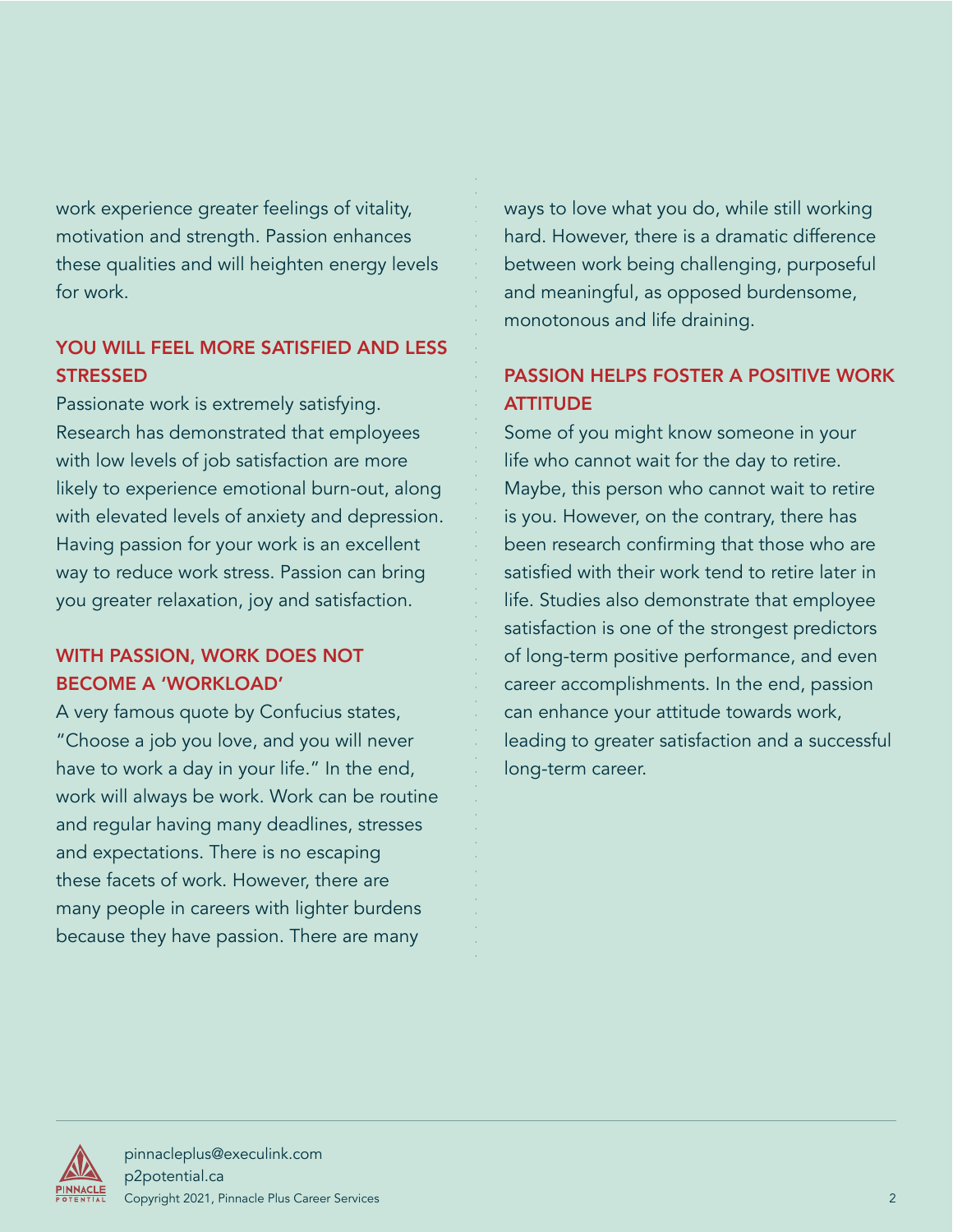work experience greater feelings of vitality, motivation and strength. Passion enhances these qualities and will heighten energy levels for work.

#### YOU WILL FEEL MORE SATISFIED AND LESS **STRESSED**

Passionate work is extremely satisfying. Research has demonstrated that employees with low levels of job satisfaction are more likely to experience emotional burn-out, along with elevated levels of anxiety and depression. Having passion for your work is an excellent way to reduce work stress. Passion can bring you greater relaxation, joy and satisfaction.

#### WITH PASSION, WORK DOES NOT BECOME A 'WORKLOAD'

A very famous quote by Confucius states, "Choose a job you love, and you will never have to work a day in your life." In the end, work will always be work. Work can be routine and regular having many deadlines, stresses and expectations. There is no escaping these facets of work. However, there are many people in careers with lighter burdens because they have passion. There are many

ways to love what you do, while still working hard. However, there is a dramatic difference between work being challenging, purposeful and meaningful, as opposed burdensome, monotonous and life draining.

#### PASSION HELPS FOSTER A POSITIVE WORK **ATTITUDE**

Some of you might know someone in your life who cannot wait for the day to retire. Maybe, this person who cannot wait to retire is you. However, on the contrary, there has been research confirming that those who are satisfied with their work tend to retire later in life. Studies also demonstrate that employee satisfaction is one of the strongest predictors of long-term positive performance, and even career accomplishments. In the end, passion can enhance your attitude towards work, leading to greater satisfaction and a successful long-term career.

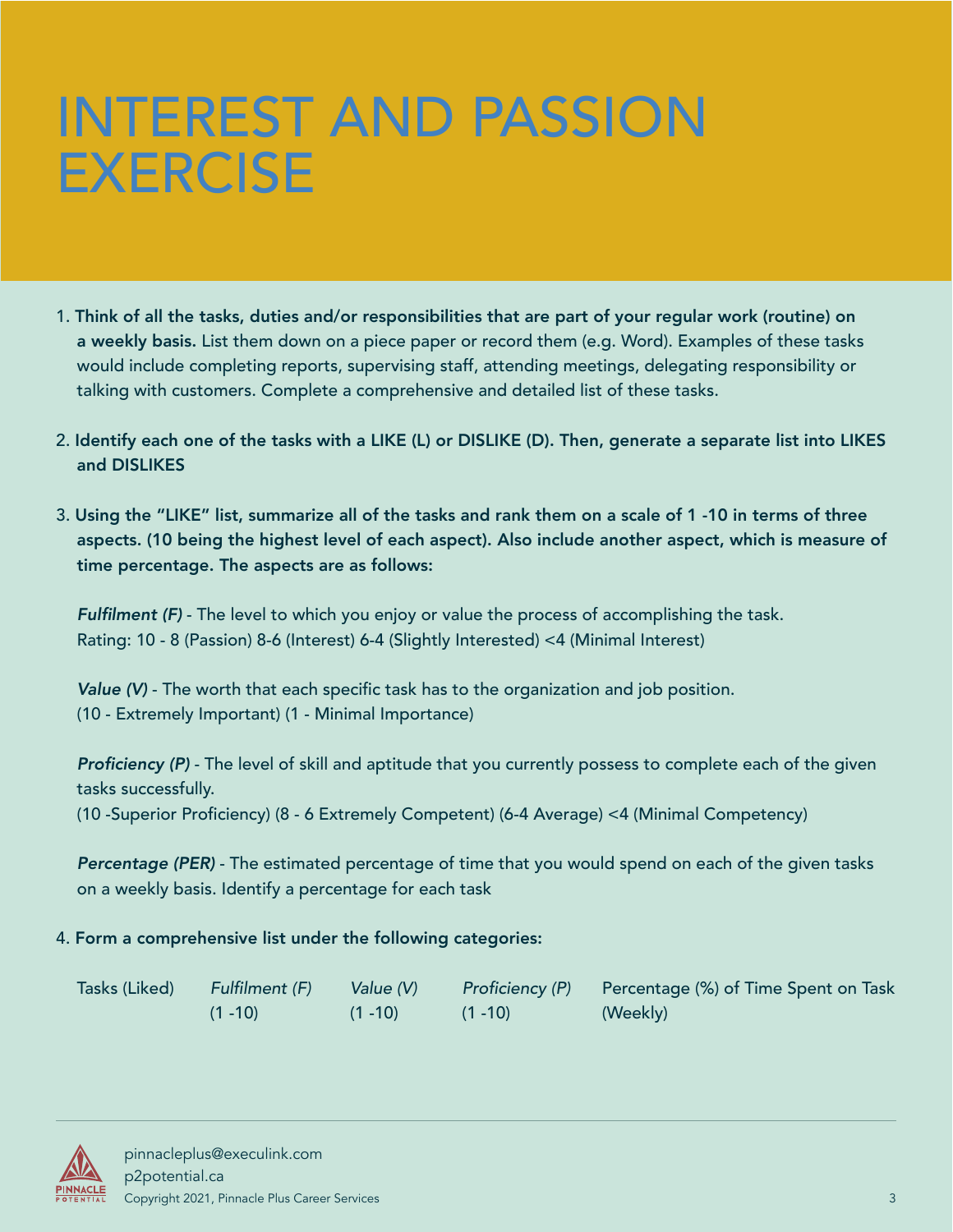### INTEREST AND PASSION EXERCISE

- 1. Think of all the tasks, duties and/or responsibilities that are part of your regular work (routine) on a weekly basis. List them down on a piece paper or record them (e.g. Word). Examples of these tasks would include completing reports, supervising staff, attending meetings, delegating responsibility or talking with customers. Complete a comprehensive and detailed list of these tasks.
- 2. Identify each one of the tasks with a LIKE (L) or DISLIKE (D). Then, generate a separate list into LIKES and DISLIKES
- 3. Using the "LIKE" list, summarize all of the tasks and rank them on a scale of 1 -10 in terms of three aspects. (10 being the highest level of each aspect). Also include another aspect, which is measure of time percentage. The aspects are as follows:

Fulfilment (F) - The level to which you enjoy or value the process of accomplishing the task. Rating: 10 - 8 (Passion) 8-6 (Interest) 6-4 (Slightly Interested) <4 (Minimal Interest)

Value (V) - The worth that each specific task has to the organization and job position. (10 - Extremely Important) (1 - Minimal Importance)

Proficiency (P) - The level of skill and aptitude that you currently possess to complete each of the given tasks successfully.

(10 -Superior Proficiency) (8 - 6 Extremely Competent) (6-4 Average) <4 (Minimal Competency)

Percentage (PER) - The estimated percentage of time that you would spend on each of the given tasks on a weekly basis. Identify a percentage for each task

#### 4. Form a comprehensive list under the following categories:

| Tasks (Liked) | Fulfilment (F) | Value (V)  | Proficiency (P) | Percentage (%) of Time Spent on Task |
|---------------|----------------|------------|-----------------|--------------------------------------|
|               | $(1 - 10)$     | $(1 - 10)$ | $(1 - 10)$      | (Weekly)                             |